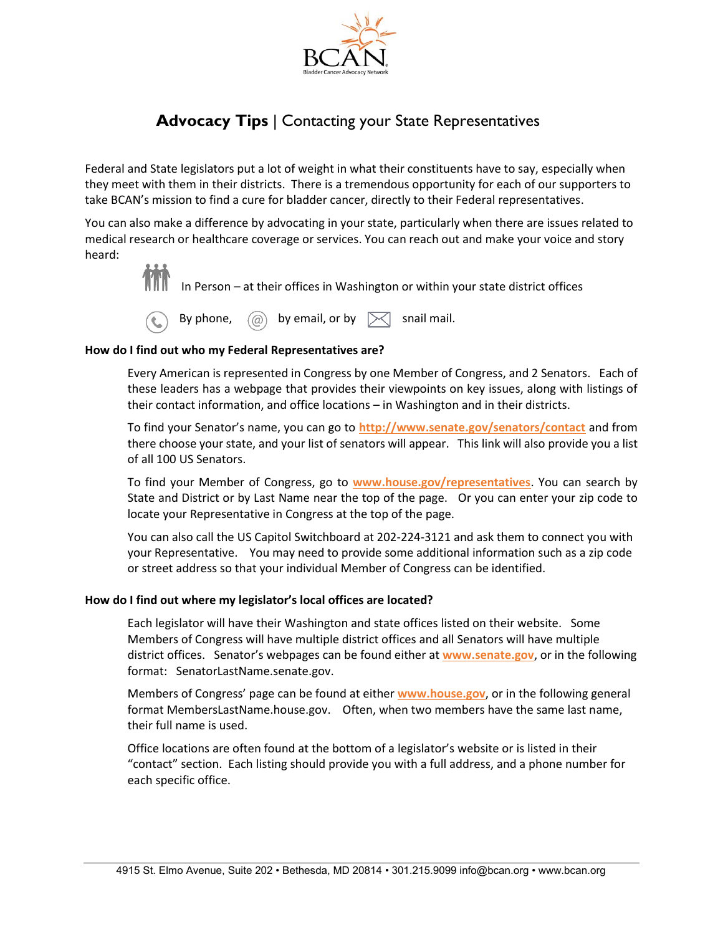

# **Advocacy Tips** | Contacting your State Representatives

Federal and State legislators put a lot of weight in what their constituents have to say, especially when they meet with them in their districts. There is a tremendous opportunity for each of our supporters to take BCAN's mission to find a cure for bladder cancer, directly to their Federal representatives.

You can also make a difference by advocating in your state, particularly when there are issues related to medical research or healthcare coverage or services. You can reach out and make your voice and story heard:



In Person – at their offices in Washington or within your state district offices



## **How do I find out who my Federal Representatives are?**

Every American is represented in Congress by one Member of Congress, and 2 Senators. Each of these leaders has a webpage that provides their viewpoints on key issues, along with listings of their contact information, and office locations – in Washington and in their districts.

To find your Senator's name, you can go to **<http://www.senate.gov/senators/contact>** and from there choose your state, and your list of senators will appear. This link will also provide you a list of all 100 US Senators.

To find your Member of Congress, go to **[www.house.gov/representatives](http://www.house.gov/representatives)**. You can search by State and District or by Last Name near the top of the page. Or you can enter your zip code to locate your Representative in Congress at the top of the page.

You can also call the US Capitol Switchboard at 202-224-3121 and ask them to connect you with your Representative. You may need to provide some additional information such as a zip code or street address so that your individual Member of Congress can be identified.

## **How do I find out where my legislator's local offices are located?**

Each legislator will have their Washington and state offices listed on their website. Some Members of Congress will have multiple district offices and all Senators will have multiple district offices. Senator's webpages can be found either at **[www.senate.gov](http://www.senate.gov/)**, or in the following format: SenatorLastName.senate.gov.

Members of Congress' page can be found at either **[www.house.gov](http://www.house.gov/)**, or in the following general format MembersLastName.house.gov. Often, when two members have the same last name, their full name is used.

Office locations are often found at the bottom of a legislator's website or is listed in their "contact" section. Each listing should provide you with a full address, and a phone number for each specific office.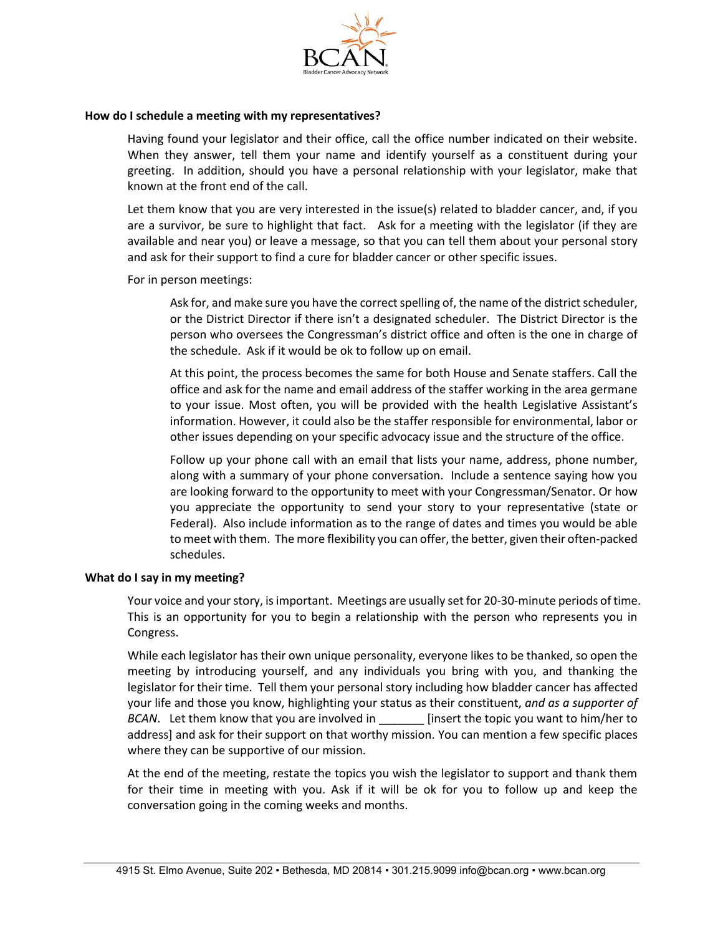

## **How do I schedule a meeting with my representatives?**

Having found your legislator and their office, call the office number indicated on their website. When they answer, tell them your name and identify yourself as a constituent during your greeting. In addition, should you have a personal relationship with your legislator, make that known at the front end of the call.

Let them know that you are very interested in the issue(s) related to bladder cancer, and, if you are a survivor, be sure to highlight that fact. Ask for a meeting with the legislator (if they are available and near you) or leave a message, so that you can tell them about your personal story and ask for their support to find a cure for bladder cancer or other specific issues.

For in person meetings:

Ask for, and make sure you have the correct spelling of, the name of the district scheduler, or the District Director if there isn't a designated scheduler. The District Director is the person who oversees the Congressman's district office and often is the one in charge of the schedule. Ask if it would be ok to follow up on email.

At this point, the process becomes the same for both House and Senate staffers. Call the office and ask for the name and email address of the staffer working in the area germane to your issue. Most often, you will be provided with the health Legislative Assistant's information. However, it could also be the staffer responsible for environmental, labor or other issues depending on your specific advocacy issue and the structure of the office.

Follow up your phone call with an email that lists your name, address, phone number, along with a summary of your phone conversation. Include a sentence saying how you are looking forward to the opportunity to meet with your Congressman/Senator. Or how you appreciate the opportunity to send your story to your representative (state or Federal). Also include information as to the range of dates and times you would be able to meet with them. The more flexibility you can offer, the better, given their often-packed schedules.

## **What do I say in my meeting?**

Your voice and your story, is important. Meetings are usually set for 20-30-minute periods of time. This is an opportunity for you to begin a relationship with the person who represents you in Congress.

While each legislator has their own unique personality, everyone likes to be thanked, so open the meeting by introducing yourself, and any individuals you bring with you, and thanking the legislator for their time. Tell them your personal story including how bladder cancer has affected your life and those you know, highlighting your status as their constituent, *and as a supporter of BCAN*. Let them know that you are involved in **Example 1** [insert the topic you want to him/her to address] and ask for their support on that worthy mission. You can mention a few specific places where they can be supportive of our mission.

At the end of the meeting, restate the topics you wish the legislator to support and thank them for their time in meeting with you. Ask if it will be ok for you to follow up and keep the conversation going in the coming weeks and months.